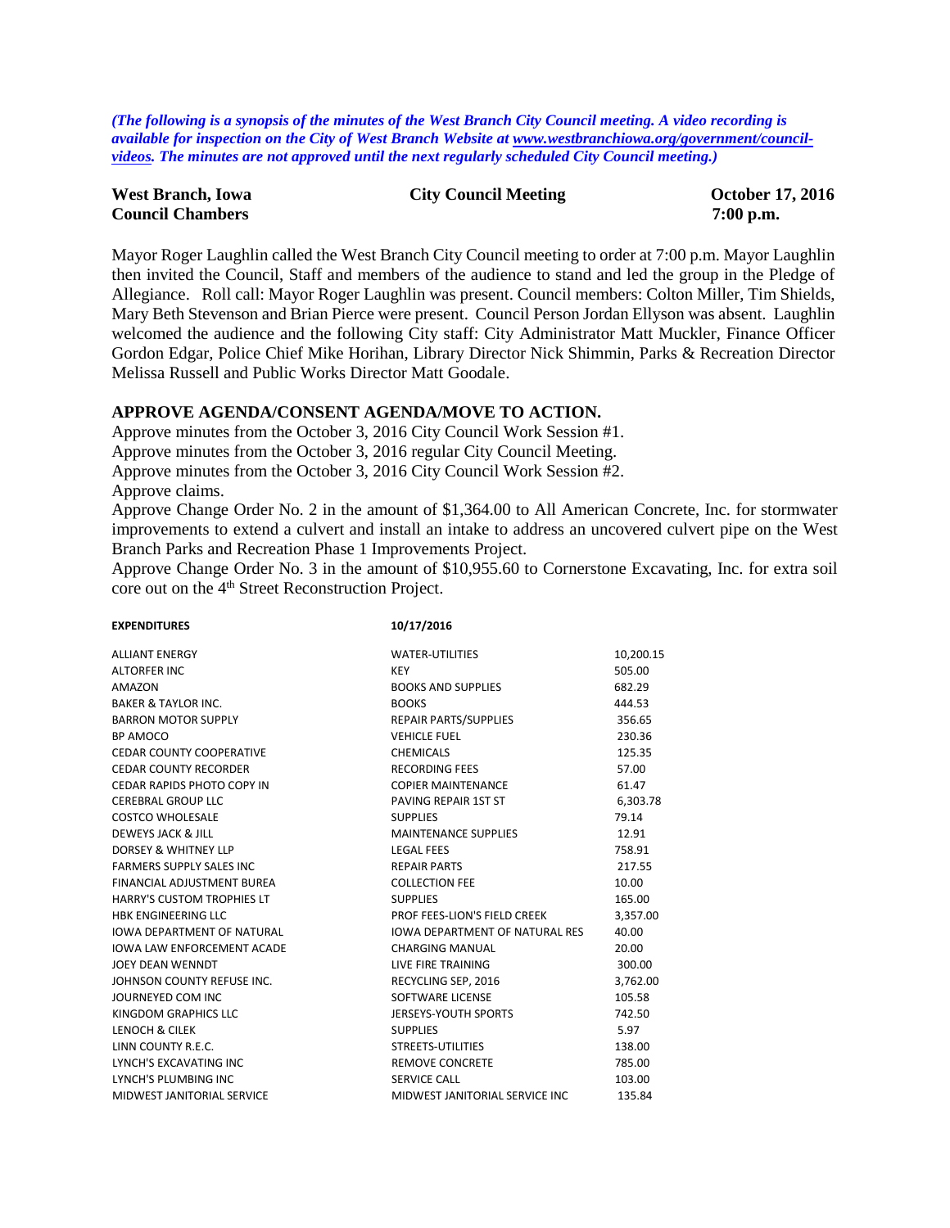*(The following is a synopsis of the minutes of the West Branch City Council meeting. A video recording is available for inspection on the City of West Branch Website a[t www.westbranchiowa.org/government/council](http://www.westbranchiowa.org/government/council-videos)[videos.](http://www.westbranchiowa.org/government/council-videos) The minutes are not approved until the next regularly scheduled City Council meeting.)*

| <b>West Branch, Iowa</b> | <b>City Council Meeting</b> | <b>October 17, 2016</b> |
|--------------------------|-----------------------------|-------------------------|
| <b>Council Chambers</b>  |                             | $7:00$ p.m.             |

Mayor Roger Laughlin called the West Branch City Council meeting to order at 7:00 p.m. Mayor Laughlin then invited the Council, Staff and members of the audience to stand and led the group in the Pledge of Allegiance. Roll call: Mayor Roger Laughlin was present. Council members: Colton Miller, Tim Shields, Mary Beth Stevenson and Brian Pierce were present. Council Person Jordan Ellyson was absent. Laughlin welcomed the audience and the following City staff: City Administrator Matt Muckler, Finance Officer Gordon Edgar, Police Chief Mike Horihan, Library Director Nick Shimmin, Parks & Recreation Director Melissa Russell and Public Works Director Matt Goodale.

#### **APPROVE AGENDA/CONSENT AGENDA/MOVE TO ACTION.**

Approve minutes from the October 3, 2016 City Council Work Session #1.

Approve minutes from the October 3, 2016 regular City Council Meeting.

Approve minutes from the October 3, 2016 City Council Work Session #2.

Approve claims.

Approve Change Order No. 2 in the amount of \$1,364.00 to All American Concrete, Inc. for stormwater improvements to extend a culvert and install an intake to address an uncovered culvert pipe on the West Branch Parks and Recreation Phase 1 Improvements Project.

Approve Change Order No. 3 in the amount of \$10,955.60 to Cornerstone Excavating, Inc. for extra soil core out on the 4<sup>th</sup> Street Reconstruction Project.

| <b>EXPENDITURES</b>               | 10/17/2016                            |           |
|-----------------------------------|---------------------------------------|-----------|
| <b>ALLIANT ENERGY</b>             | <b>WATER-UTILITIES</b>                | 10,200.15 |
| <b>ALTORFER INC</b>               | <b>KEY</b>                            | 505.00    |
| AMAZON                            | <b>BOOKS AND SUPPLIES</b>             | 682.29    |
| <b>BAKER &amp; TAYLOR INC.</b>    | <b>BOOKS</b>                          | 444.53    |
| <b>BARRON MOTOR SUPPLY</b>        | <b>REPAIR PARTS/SUPPLIES</b>          | 356.65    |
| BP AMOCO                          | <b>VEHICLE FUEL</b>                   | 230.36    |
| <b>CEDAR COUNTY COOPERATIVE</b>   | <b>CHEMICALS</b>                      | 125.35    |
| <b>CEDAR COUNTY RECORDER</b>      | <b>RECORDING FEES</b>                 | 57.00     |
| CEDAR RAPIDS PHOTO COPY IN        | <b>COPIER MAINTENANCE</b>             | 61.47     |
| <b>CEREBRAL GROUP LLC</b>         | PAVING REPAIR 1ST ST                  | 6,303.78  |
| <b>COSTCO WHOLESALE</b>           | <b>SUPPLIES</b>                       | 79.14     |
| DEWEYS JACK & JILL                | <b>MAINTENANCE SUPPLIES</b>           | 12.91     |
| DORSEY & WHITNEY LLP              | <b>LEGAL FEES</b>                     | 758.91    |
| <b>FARMERS SUPPLY SALES INC</b>   | <b>REPAIR PARTS</b>                   | 217.55    |
| FINANCIAL ADJUSTMENT BUREA        | <b>COLLECTION FEE</b>                 | 10.00     |
| <b>HARRY'S CUSTOM TROPHIES LT</b> | <b>SUPPLIES</b>                       | 165.00    |
| <b>HBK ENGINEERING LLC</b>        | PROF FEES-LION'S FIELD CREEK          | 3,357.00  |
| <b>IOWA DEPARTMENT OF NATURAL</b> | <b>IOWA DEPARTMENT OF NATURAL RES</b> | 40.00     |
| <b>IOWA LAW ENFORCEMENT ACADE</b> | <b>CHARGING MANUAL</b>                | 20.00     |
| <b>JOEY DEAN WENNDT</b>           | LIVE FIRE TRAINING                    | 300.00    |
| JOHNSON COUNTY REFUSE INC.        | RECYCLING SEP, 2016                   | 3,762.00  |
| JOURNEYED COM INC                 | SOFTWARE LICENSE                      | 105.58    |
| KINGDOM GRAPHICS LLC              | JERSEYS-YOUTH SPORTS                  | 742.50    |
| LENOCH & CILEK                    | <b>SUPPLIES</b>                       | 5.97      |
| LINN COUNTY R.E.C.                | STREETS-UTILITIES                     | 138.00    |
| LYNCH'S EXCAVATING INC            | <b>REMOVE CONCRETE</b>                | 785.00    |
| LYNCH'S PLUMBING INC              | <b>SERVICE CALL</b>                   | 103.00    |
| MIDWEST JANITORIAL SERVICE        | MIDWEST JANITORIAL SERVICE INC        | 135.84    |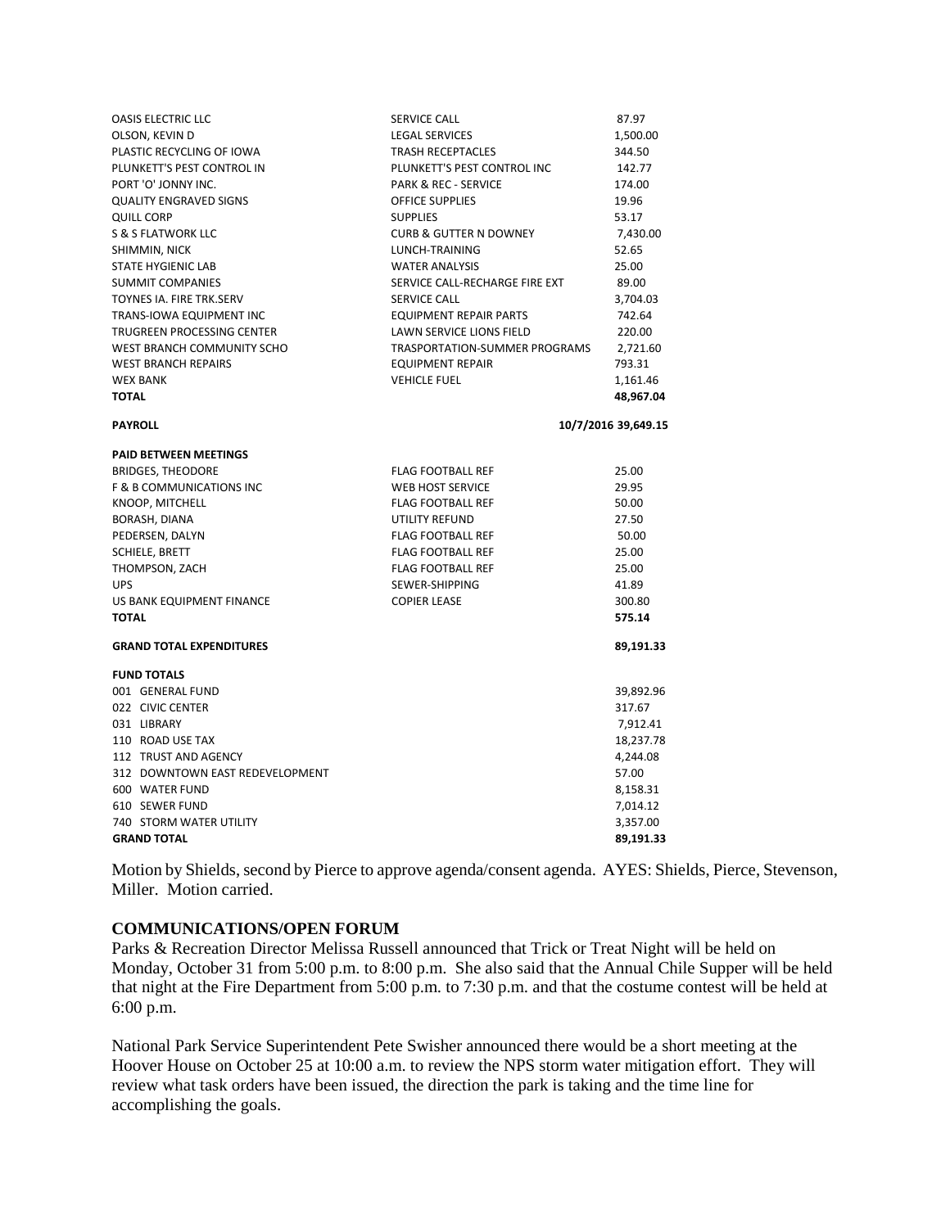| <b>OASIS ELECTRIC LLC</b>           | SERVICE CALL                         | 87.97               |
|-------------------------------------|--------------------------------------|---------------------|
| OLSON, KEVIN D                      | <b>LEGAL SERVICES</b>                | 1,500.00            |
| PLASTIC RECYCLING OF IOWA           | <b>TRASH RECEPTACLES</b>             | 344.50              |
| PLUNKETT'S PEST CONTROL IN          | PLUNKETT'S PEST CONTROL INC          | 142.77              |
| PORT 'O' JONNY INC.                 | <b>PARK &amp; REC - SERVICE</b>      | 174.00              |
| <b>QUALITY ENGRAVED SIGNS</b>       | <b>OFFICE SUPPLIES</b>               | 19.96               |
| QUILL CORP                          | <b>SUPPLIES</b>                      | 53.17               |
| S & S FLATWORK LLC                  | <b>CURB &amp; GUTTER N DOWNEY</b>    | 7,430.00            |
| SHIMMIN, NICK                       | LUNCH-TRAINING                       | 52.65               |
| <b>STATE HYGIENIC LAB</b>           | <b>WATER ANALYSIS</b>                | 25.00               |
| <b>SUMMIT COMPANIES</b>             | SERVICE CALL-RECHARGE FIRE EXT       | 89.00               |
| TOYNES IA. FIRE TRK.SERV            | <b>SERVICE CALL</b>                  | 3,704.03            |
| TRANS-IOWA EQUIPMENT INC            | <b>EQUIPMENT REPAIR PARTS</b>        | 742.64              |
| TRUGREEN PROCESSING CENTER          | LAWN SERVICE LIONS FIELD             | 220.00              |
| WEST BRANCH COMMUNITY SCHO          | <b>TRASPORTATION-SUMMER PROGRAMS</b> | 2,721.60            |
| <b>WEST BRANCH REPAIRS</b>          | <b>EQUIPMENT REPAIR</b>              | 793.31              |
| <b>WEX BANK</b>                     | <b>VEHICLE FUEL</b>                  | 1,161.46            |
| <b>TOTAL</b>                        |                                      | 48,967.04           |
| <b>PAYROLL</b>                      |                                      | 10/7/2016 39,649.15 |
|                                     |                                      |                     |
| <b>PAID BETWEEN MEETINGS</b>        |                                      |                     |
| <b>BRIDGES, THEODORE</b>            | <b>FLAG FOOTBALL REF</b>             | 25.00               |
| <b>F &amp; B COMMUNICATIONS INC</b> | <b>WEB HOST SERVICE</b>              | 29.95               |
| KNOOP, MITCHELL                     | <b>FLAG FOOTBALL REF</b>             | 50.00               |
| BORASH, DIANA                       | <b>UTILITY REFUND</b>                | 27.50               |
| PEDERSEN, DALYN                     | <b>FLAG FOOTBALL REF</b>             | 50.00               |
| <b>SCHIELE, BRETT</b>               | <b>FLAG FOOTBALL REF</b>             | 25.00               |
| THOMPSON, ZACH                      | <b>FLAG FOOTBALL REF</b>             | 25.00               |
| <b>UPS</b>                          | SEWER-SHIPPING                       | 41.89               |
| US BANK EQUIPMENT FINANCE           | <b>COPIER LEASE</b>                  | 300.80              |
| <b>TOTAL</b>                        |                                      | 575.14              |
| <b>GRAND TOTAL EXPENDITURES</b>     |                                      | 89,191.33           |
| <b>FUND TOTALS</b>                  |                                      |                     |
| 001 GENERAL FUND                    |                                      | 39,892.96           |
| 022 CIVIC CENTER                    |                                      | 317.67              |
| 031 LIBRARY                         |                                      | 7,912.41            |
| 110 ROAD USE TAX                    |                                      | 18,237.78           |
| 112 TRUST AND AGENCY                |                                      | 4,244.08            |
| 312 DOWNTOWN EAST REDEVELOPMENT     |                                      | 57.00               |
| 600 WATER FUND                      |                                      | 8,158.31            |
| 610 SEWER FUND                      |                                      | 7,014.12            |
| <b>740 STORM WATER UTILITY</b>      |                                      | 3,357.00            |
| <b>GRAND TOTAL</b>                  |                                      | 89,191.33           |

Motion by Shields, second by Pierce to approve agenda/consent agenda. AYES: Shields, Pierce, Stevenson, Miller. Motion carried.

#### **COMMUNICATIONS/OPEN FORUM**

Parks & Recreation Director Melissa Russell announced that Trick or Treat Night will be held on Monday, October 31 from 5:00 p.m. to 8:00 p.m. She also said that the Annual Chile Supper will be held that night at the Fire Department from 5:00 p.m. to 7:30 p.m. and that the costume contest will be held at 6:00 p.m.

National Park Service Superintendent Pete Swisher announced there would be a short meeting at the Hoover House on October 25 at 10:00 a.m. to review the NPS storm water mitigation effort. They will review what task orders have been issued, the direction the park is taking and the time line for accomplishing the goals.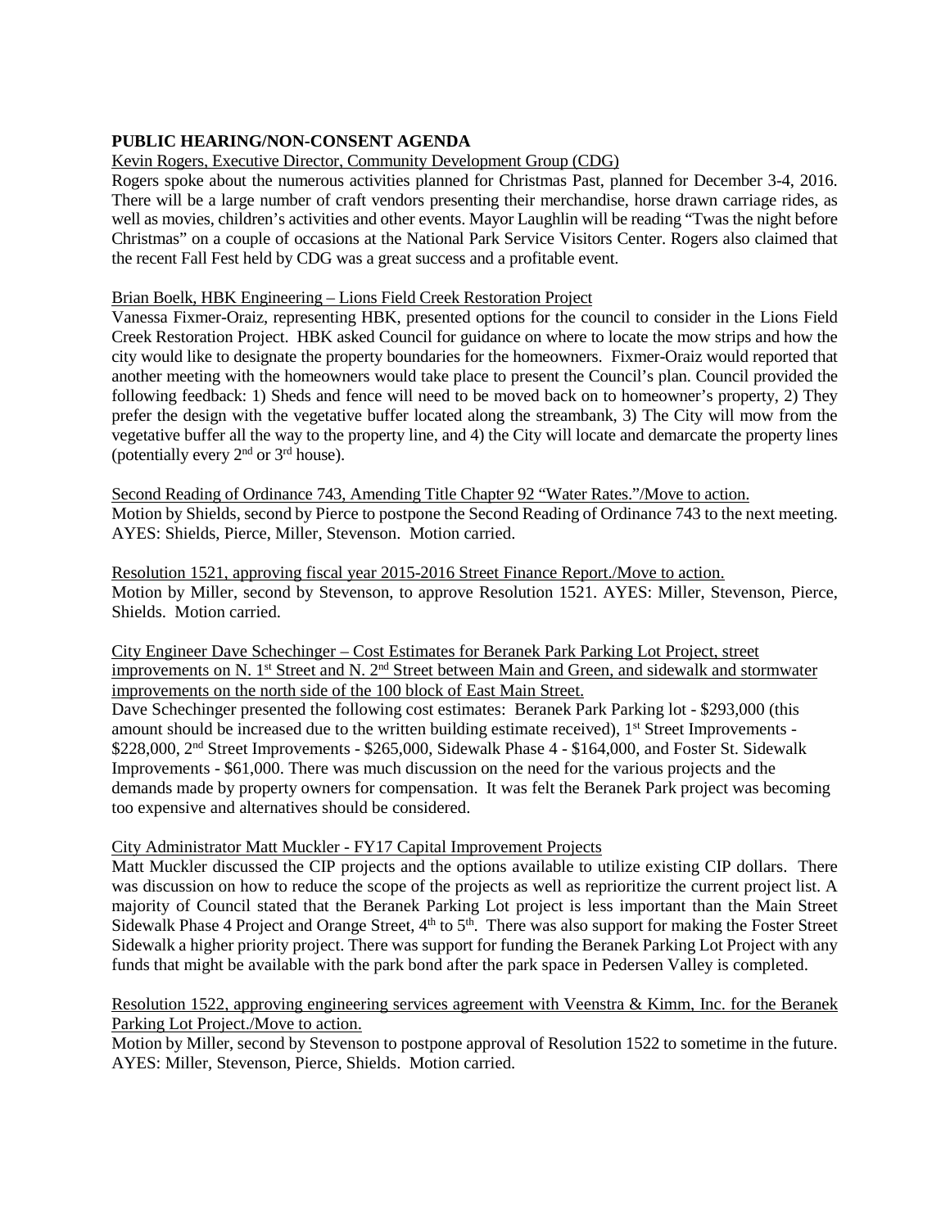# **PUBLIC HEARING/NON-CONSENT AGENDA**

# Kevin Rogers, Executive Director, Community Development Group (CDG)

Rogers spoke about the numerous activities planned for Christmas Past, planned for December 3-4, 2016. There will be a large number of craft vendors presenting their merchandise, horse drawn carriage rides, as well as movies, children's activities and other events. Mayor Laughlin will be reading "Twas the night before Christmas" on a couple of occasions at the National Park Service Visitors Center. Rogers also claimed that the recent Fall Fest held by CDG was a great success and a profitable event.

### Brian Boelk, HBK Engineering – Lions Field Creek Restoration Project

Vanessa Fixmer-Oraiz, representing HBK, presented options for the council to consider in the Lions Field Creek Restoration Project. HBK asked Council for guidance on where to locate the mow strips and how the city would like to designate the property boundaries for the homeowners. Fixmer-Oraiz would reported that another meeting with the homeowners would take place to present the Council's plan. Council provided the following feedback: 1) Sheds and fence will need to be moved back on to homeowner's property, 2) They prefer the design with the vegetative buffer located along the streambank, 3) The City will mow from the vegetative buffer all the way to the property line, and 4) the City will locate and demarcate the property lines (potentially every  $2<sup>nd</sup>$  or  $3<sup>rd</sup>$  house).

Second Reading of Ordinance 743, Amending Title Chapter 92 "Water Rates."/Move to action. Motion by Shields, second by Pierce to postpone the Second Reading of Ordinance 743 to the next meeting. AYES: Shields, Pierce, Miller, Stevenson. Motion carried.

Resolution 1521, approving fiscal year 2015-2016 Street Finance Report./Move to action. Motion by Miller, second by Stevenson, to approve Resolution 1521. AYES: Miller, Stevenson, Pierce, Shields. Motion carried.

City Engineer Dave Schechinger – Cost Estimates for Beranek Park Parking Lot Project, street improvements on N. 1<sup>st</sup> Street and N. 2<sup>nd</sup> Street between Main and Green, and sidewalk and stormwater improvements on the north side of the 100 block of East Main Street.

Dave Schechinger presented the following cost estimates: Beranek Park Parking lot - \$293,000 (this amount should be increased due to the written building estimate received), 1<sup>st</sup> Street Improvements -\$228,000, 2<sup>nd</sup> Street Improvements - \$265,000, Sidewalk Phase 4 - \$164,000, and Foster St. Sidewalk Improvements - \$61,000. There was much discussion on the need for the various projects and the demands made by property owners for compensation. It was felt the Beranek Park project was becoming too expensive and alternatives should be considered.

# City Administrator Matt Muckler - FY17 Capital Improvement Projects

Matt Muckler discussed the CIP projects and the options available to utilize existing CIP dollars. There was discussion on how to reduce the scope of the projects as well as reprioritize the current project list. A majority of Council stated that the Beranek Parking Lot project is less important than the Main Street Sidewalk Phase 4 Project and Orange Street,  $4<sup>th</sup>$  to  $5<sup>th</sup>$ . There was also support for making the Foster Street Sidewalk a higher priority project. There was support for funding the Beranek Parking Lot Project with any funds that might be available with the park bond after the park space in Pedersen Valley is completed.

### Resolution 1522, approving engineering services agreement with Veenstra & Kimm, Inc. for the Beranek Parking Lot Project./Move to action.

Motion by Miller, second by Stevenson to postpone approval of Resolution 1522 to sometime in the future. AYES: Miller, Stevenson, Pierce, Shields. Motion carried.